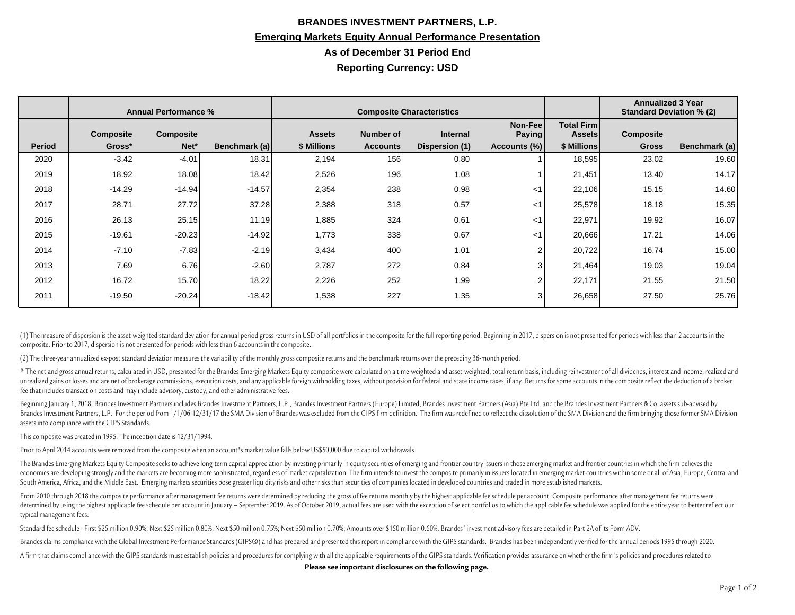## **BRANDES INVESTMENT PARTNERS, L.P. Emerging Markets Equity Annual Performance Presentation As of December 31 Period End Reporting Currency: USD**

|               | <b>Annual Performance %</b> |                  |               | <b>Composite Characteristics</b> |                  |                |                           |                                    | <b>Annualized 3 Year</b><br><b>Standard Deviation % (2)</b> |               |
|---------------|-----------------------------|------------------|---------------|----------------------------------|------------------|----------------|---------------------------|------------------------------------|-------------------------------------------------------------|---------------|
|               | <b>Composite</b>            | <b>Composite</b> |               | <b>Assets</b>                    | <b>Number of</b> | Internal       | Non-Feel<br><b>Paying</b> | <b>Total Firm</b><br><b>Assets</b> | Composite                                                   |               |
| <b>Period</b> | Gross*                      | Net*             | Benchmark (a) | \$ Millions                      | <b>Accounts</b>  | Dispersion (1) | Accounts (%)              | \$ Millions                        | <b>Gross</b>                                                | Benchmark (a) |
| 2020          | $-3.42$                     | $-4.01$          | 18.31         | 2,194                            | 156              | 0.80           |                           | 18,595                             | 23.02                                                       | 19.60         |
| 2019          | 18.92                       | 18.08            | 18.42         | 2,526                            | 196              | 1.08           |                           | 21,451                             | 13.40                                                       | 14.17         |
| 2018          | $-14.29$                    | $-14.94$         | $-14.57$      | 2,354                            | 238              | 0.98           | $<$ 1                     | 22,106                             | 15.15                                                       | 14.60         |
| 2017          | 28.71                       | 27.72            | 37.28         | 2,388                            | 318              | 0.57           | ا>                        | 25,578                             | 18.18                                                       | 15.35         |
| 2016          | 26.13                       | 25.15            | 11.19         | 1,885                            | 324              | 0.61           | <1                        | 22,971                             | 19.92                                                       | 16.07         |
| 2015          | $-19.61$                    | $-20.23$         | $-14.92$      | 1,773                            | 338              | 0.67           | ا>                        | 20,666                             | 17.21                                                       | 14.06         |
| 2014          | $-7.10$                     | $-7.83$          | $-2.19$       | 3,434                            | 400              | 1.01           | 2                         | 20,722                             | 16.74                                                       | 15.00         |
| 2013          | 7.69                        | 6.76             | $-2.60$       | 2,787                            | 272              | 0.84           | 3                         | 21,464                             | 19.03                                                       | 19.04         |
| 2012          | 16.72                       | 15.70            | 18.22         | 2,226                            | 252              | 1.99           | 2                         | 22,171                             | 21.55                                                       | 21.50         |
| 2011          | $-19.50$                    | $-20.24$         | $-18.42$      | 1,538                            | 227              | 1.35           | 3                         | 26,658                             | 27.50                                                       | 25.76         |

(1) The measure of dispersion is the asset-weighted standard deviation for annual period gross returns in USD of all portfolios in the composite for the full reporting period. Beginning in 2017, dispersion is not presented composite. Prior to 2017, dispersion is not presented for periods with less than 6 accounts in the composite.

(2) The three-year annualized ex-post standard deviation measures the variability of the monthly gross composite returns and the benchmark returns over the preceding 36-month period.

\* The net and gross annual returns, calculated in USD, presented for the Brandes Emerging Markets Equity composite were calculated on a time-weighted and asset-weighted, total return basis, including reinvestment of all di unrealized gains or losses and are net of brokerage commissions, execution costs, and any applicable foreign withholding taxes, without provision for federal and state income taxes, if any. Returns for some accounts in the fee that includes transaction costs and may include advisory, custody, and other administrative fees.

Beginning January 1, 2018, Brandes Investment Partners includes Brandes Investment Partners, L.P., Brandes Investment Partners (Europe) Limited, Brandes Investment Partners (Asia) Pte Ltd. and the Brandes Investment Partne Brandes Investment Partners, L.P. For the period from 1/1/06-12/31/17 the SMA Division of Brandes was excluded from the GIPS firm definition. The firm was redefined to reflect the dissolution of the SMA Division and the fi assets into compliance with the GIPS Standards.

This composite was created in 1995. The inception date is 12/31/1994.

Prior to April 2014 accounts were removed from the composite when an account's market value falls below US\$50,000 due to capital withdrawals.

The Brandes Emerging Markets Equity Composite seeks to achieve long-term capital appreciation by investing primarily in equity securities of emerging and frontier country issuers in those emerging market and frontier count economies are developing strongly and the markets are becoming more sophisticated, regardless of market capitalization. The firm intends to invest the composite primarily in issuers located in emerging market countries wit South America, Africa, and the Middle East. Emerging markets securities pose greater liquidity risks and other risks than securities of companies located in developed countries and traded in more established markets.

From 2010 through 2018 the composite performance after management fee returns were determined by reducing the gross of fee returns monthly by the highest applicable fee schedule per account. Composite performance after man determined by using the highest applicable fee schedule per account in January - September 2019. As of October 2019, actual fees are used with the exception of select portfolios to which the applicable fee schedule was app typical management fees.

Standard fee schedule - First \$25 million 0.90%; Next \$25 million 0.80%; Next \$50 million 0.75%; Next \$50 million 0.70%; Amounts over \$150 million 0.60%. Brandes' investment advisory fees are detailed in Part 2A of its For

Brandes claims compliance with the Global Investment Performance Standards (GIPS®) and has prepared and presented this report in compliance with the GIPS standards. Brandes has been independently verified for the annual pe

A firm that claims compliance with the GIPS standards must establish policies and procedures for complying with all the applicable requirements of the GIPS standards. Verification provides assurance on whether the firm's p

**Please see important disclosures on the following page.**